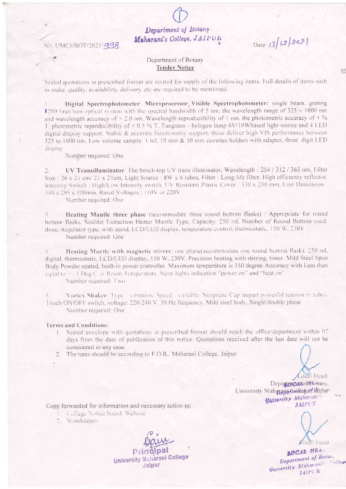Department of Botany Maharani's College, JAIPUR

No. UMCJ/BOT/2021/998

Date:  $13/12/202$ 

## Department of Botany **Tender Notice**

Sealed quotations in prescribed format are invited for supply of the following items. Full details of items such as make, quality, availability, delivery, etc are required to be mentioned.

Digital Spectrophotometer: Microprocessor Visible Spectrophotometer: single beam. grating 1200 lines/nim optical system with the spectral bandwidth of 5 nm, the wavelength range of  $325 \sim 1000$  nm and wavelength accuracy of  $\pm 2.0$  nm. Wavelength reproducibility of 1 nm, the photometric accuracy of  $\pm \%$ T, photometric reproducibility of  $\leq 0.5\%$  T. Tungsten – halogen lamp 6V/10Wbased light source and 4 LED digital display support. Stable & accurate functionality support, these deliver high VIS performance between 325 to 1000 nm, Low volume sample: 1 ml, 10 mm & 50 mm cuvettes holders with adapter, three digit LED display

Number required: One

UV Transilluminator: The bench-top UV trans illuminator, Wavelength: 254/312/365 nm, Filter  $\overline{2}$ . Size: 26 x 21 cm/ 21 x 21cm, Light Source: 8W x 6 tubes, Filter: Long life filter. High efficiency reflector. Intensity Switch: High/Low Intensity switch, UV Resistant Plastic Cover: 330 x 250 mm, Unit Dimension: 340 x 295 x 100mm, Rated Voltages : 110V or 220V

Number required: One

Heating Mantle three phase (accommodate three round bottom flasks) : Appropriate for round bottom flasks, Soxhlet Extraction Heater Mantle Type, Capacity: 250 ml. Number of Round Bottom used: three, Regulator type, with stand, LCD/LED display, temperature control, thermostatic, 150 W, 230V Number required: One

Heating Mantle with magnetic stirrer, one phase(accommodate one round bottom flask): 250 ml,  $\mathcal{A}$ . digital, thermostatic, LCD/LED display, 150 W, 230V. Precision heating with stirring, timer, Mild Steel Spun Body Powder coated, built-in power controller. Maximum temperature is 350 degree Accuracy with Less than equal to  $\pm$  1 Deg C a Room Temperature. Neon lights indication "power on" and "heat on".

Number required: Two

Vortex Shaker: Type - vibration. Speed - variable. Neoprene Cup impart powerful tension to tubes. Touch ON/OFF switch, voltage: 220-240 V, 50 Hz frequency, Mild steel body, Single/double phase Number required: One

#### **Terms and Conditions:**

- 1. Sealed envelope with quotations in prescribed format should reach the office/department within 07 days from the date of publication of this notice. Quotations received after the last date will not be considered in any case.
- 2. The rates should be according to F.O.R., Maharani College, Jaipur.

Local Head. Department from any. University Maharaba Ambage/Juliper Calversity Maharant **JAJPUE** 

Copy forwarded for information and necessary action to:

- The College Notice board. Website
- 2. Storekeeper

**University Maharani College** Jaipur

ocal Head **LUCAL HEA. Department of Botung** Gniversity Maharant's Coller **IAIPUR**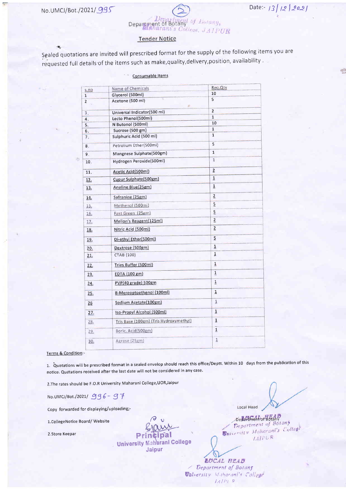á,

 $\frac{1}{2}$ 



# **Tender Notice**

Sealed quotations are invited will prescribed format for the supply of the following items you are requested full details of the items such as make, quality, delivery, position, availability.

| Consumable Items |                                        |                         |  |
|------------------|----------------------------------------|-------------------------|--|
|                  | Name of Chemicals                      | Req. Qty                |  |
| S.nO<br>1        | Glycerol (500ml)                       | 10                      |  |
| 2                | Acetone (500 ml)<br>ø                  | 5                       |  |
| 3.               | Universal Indicator(500 ml)            | $\overline{2}$          |  |
| 4.               | Lecto Phenol(500ml)                    | $\mathbf{1}$            |  |
| 5.               | N Butonol (500ml)                      | 10                      |  |
| 6.               | Sucrose (500 gm)                       | 1                       |  |
| 7.               | Sulphuric Acid (500 ml)                | $\overline{1}$          |  |
| 8.               | Petrolium Ether(500mi)                 | 5                       |  |
| 9.               | Mangnese Sulphate(500gm)               | $\mathbf{1}$            |  |
| 10.              | Hydrogen Peroxide(500ml)               | $\mathbf{1}$            |  |
| 11.              | Acetic Acid(500ml)                     | $\overline{2}$          |  |
| 12.              | Cupur Sulphate(500gm)                  | $\overline{1}$          |  |
| 13.              | Aneline Blue(25gm)                     | $\overline{1}$          |  |
| <u>14.</u>       | Safranine (25gm)                       | $\overline{2}$          |  |
| 15,              | Methenol (500mi)                       | $\overline{5}$          |  |
| 16.              | Fast Green (25gm)                      | $\overline{5}$          |  |
| 17.              | Mellon's Reagent(125ml)                | $\overline{2}$          |  |
| 18.              | Nitric Acid (500ml)                    | $\overline{2}$          |  |
| 19.              | Di-ethyl Ether(500ml)                  | 5                       |  |
| 20.              | Dextrose (500gm)                       | $\overline{\mathbf{1}}$ |  |
| 21.              | CTAB (100)                             | $\overline{1}$          |  |
| 22.              | Tries Buffer (500ml)                   | $\overline{1}$          |  |
| 23.              | EDTA (100 gm)                          | $\overline{1}$          |  |
| 24.              | PVP(40 grade) 500gm                    | $\overline{1}$          |  |
| 25.              | B-Mereoptoethenol (100ml)              | $\overline{1}$          |  |
| 26               | Sodium Acetate(100gm)                  | $_{\rm \perp}$          |  |
| 27.              | Iso-Propyl Alcohol (500ml)             | $\overline{1}$          |  |
| 28.              | Tris Base (100gm) (Tris Hydroxymethyl) | $\overline{1}$          |  |
| 29.              | Boric. Acid(500gm)                     | $\mathbf{1}$            |  |
| 30.              | Agrose (25gm)                          | $\overline{1}$          |  |

Terms & Condition:-

1. Quotations will be prescribed format in a sealed envelop should reach this office/Deptt. Within 10 days from the publication of this notice. Quatations received after the last date will not be considered in any case.

2. The rates should be F.O.R University Maharani College, UOR, Jaipur

No.UMCJ/Bot./2021/996-97

Copy forwarded for displaying/uploading;-

1. College Notice Board/Website

2.Store Keepar

Pr **University Maharani College** Jaipur

Local Head

Date: 13/12/2021

Department of Botany<br>Department of Botany University Maharant's College  $IAIPER$ 

**EOCAL HEAD** Bepartment of Bolans *Valversity Maharani's College*  $LATER$